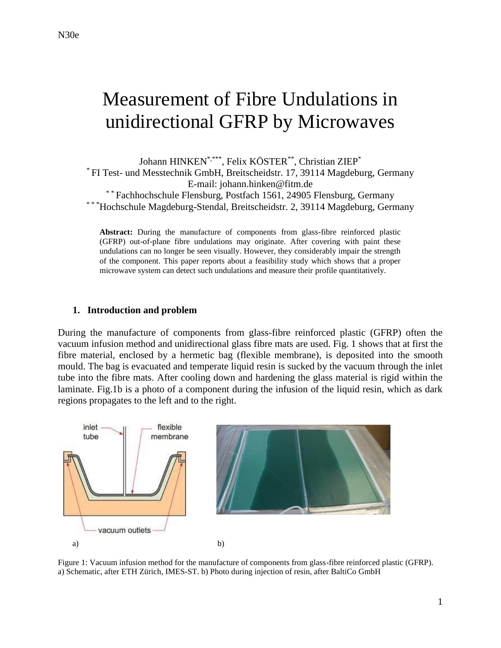# Measurement of Fibre Undulations in unidirectional GFRP by Microwaves

Johann HINKEN\*,\*\*\* , Felix KÖSTER\*\* , Christian ZIEP\* \* FI Test- und Messtechnik GmbH, Breitscheidstr. 17, 39114 Magdeburg, Germany E-mail: johann.hinken@fitm.de \*\* Fachhochschule Flensburg, Postfach 1561, 24905 Flensburg, Germany \* \* \*Hochschule Magdeburg-Stendal, Breitscheidstr. 2, 39114 Magdeburg, Germany

**Abstract:** During the manufacture of components from glass-fibre reinforced plastic (GFRP) out-of-plane fibre undulations may originate. After covering with paint these undulations can no longer be seen visually. However, they considerably impair the strength of the component. This paper reports about a feasibility study which shows that a proper microwave system can detect such undulations and measure their profile quantitatively.

#### **1. Introduction and problem**

During the manufacture of components from glass-fibre reinforced plastic (GFRP) often the vacuum infusion method and unidirectional glass fibre mats are used. Fig. 1 shows that at first the fibre material, enclosed by a hermetic bag (flexible membrane), is deposited into the smooth mould. The bag is evacuated and temperate liquid resin is sucked by the vacuum through the inlet tube into the fibre mats. After cooling down and hardening the glass material is rigid within the laminate. Fig.1b is a photo of a component during the infusion of the liquid resin, which as dark regions propagates to the left and to the right.



Figure 1: Vacuum infusion method for the manufacture of components from glass-fibre reinforced plastic (GFRP). a) Schematic, after ETH Zürich, IMES-ST. b) Photo during injection of resin, after BaltiCo GmbH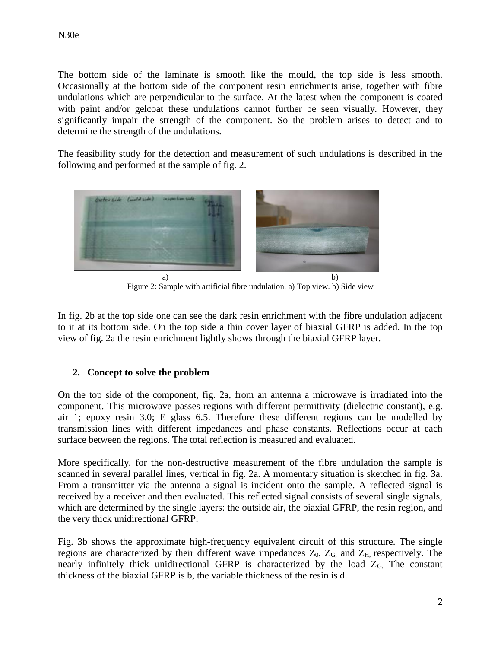The bottom side of the laminate is smooth like the mould, the top side is less smooth. Occasionally at the bottom side of the component resin enrichments arise, together with fibre undulations which are perpendicular to the surface. At the latest when the component is coated with paint and/or gelcoat these undulations cannot further be seen visually. However, they significantly impair the strength of the component. So the problem arises to detect and to determine the strength of the undulations.

The feasibility study for the detection and measurement of such undulations is described in the following and performed at the sample of fig. 2.



Figure 2: Sample with artificial fibre undulation. a) Top view. b) Side view

In fig. 2b at the top side one can see the dark resin enrichment with the fibre undulation adjacent to it at its bottom side. On the top side a thin cover layer of biaxial GFRP is added. In the top view of fig. 2a the resin enrichment lightly shows through the biaxial GFRP layer.

## **2. Concept to solve the problem**

On the top side of the component, fig. 2a, from an antenna a microwave is irradiated into the component. This microwave passes regions with different permittivity (dielectric constant), e.g. air 1; epoxy resin 3.0; E glass 6.5. Therefore these different regions can be modelled by transmission lines with different impedances and phase constants. Reflections occur at each surface between the regions. The total reflection is measured and evaluated.

More specifically, for the non-destructive measurement of the fibre undulation the sample is scanned in several parallel lines, vertical in fig. 2a. A momentary situation is sketched in fig. 3a. From a transmitter via the antenna a signal is incident onto the sample. A reflected signal is received by a receiver and then evaluated. This reflected signal consists of several single signals, which are determined by the single layers: the outside air, the biaxial GFRP, the resin region, and the very thick unidirectional GFRP.

Fig. 3b shows the approximate high-frequency equivalent circuit of this structure. The single regions are characterized by their different wave impedances  $Z_0$ ,  $Z_G$ , and  $Z_H$ , respectively. The nearly infinitely thick unidirectional GFRP is characterized by the load ZG. The constant thickness of the biaxial GFRP is b, the variable thickness of the resin is d.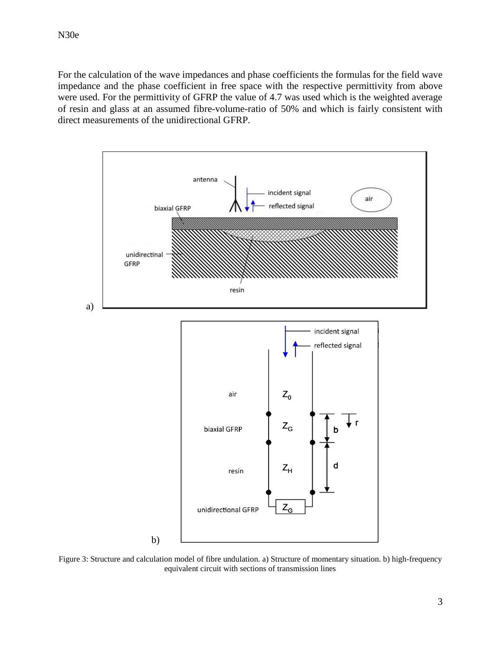For the calculation of the wave impedances and phase coefficients the formulas for the field wave impedance and the phase coefficient in free space with the respective permittivity from above were used. For the permittivity of GFRP the value of 4.7 was used which is the weighted average of resin and glass at an assumed fibre-volume-ratio of 50% and which is fairly consistent with direct measurements of the unidirectional GFRP.



Figure 3: Structure and calculation model of fibre undulation. a) Structure of momentary situation. b) high-frequency equivalent circuit with sections of transmission lines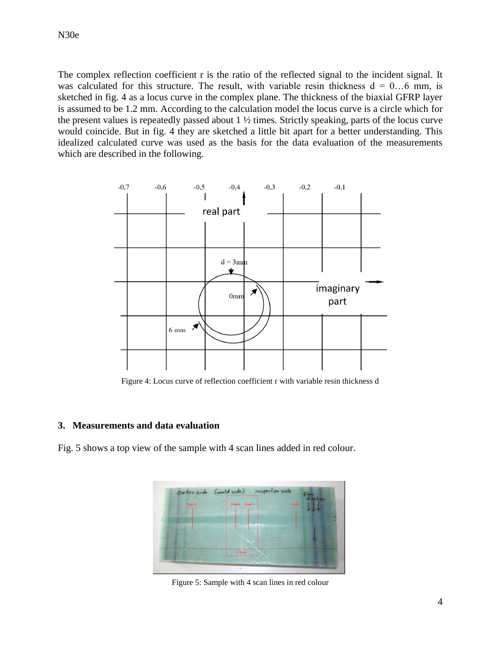The complex reflection coefficient r is the ratio of the reflected signal to the incident signal. It was calculated for this structure. The result, with variable resin thickness  $d = 0...6$  mm, is sketched in fig. 4 as a locus curve in the complex plane. The thickness of the biaxial GFRP layer is assumed to be 1.2 mm. According to the calculation model the locus curve is a circle which for the present values is repeatedly passed about 1 ½ times. Strictly speaking, parts of the locus curve would coincide. But in fig. 4 they are sketched a little bit apart for a better understanding. This idealized calculated curve was used as the basis for the data evaluation of the measurements which are described in the following.



Figure 4: Locus curve of reflection coefficient r with variable resin thickness d

### **3. Measurements and data evaluation**

Fig. 5 shows a top view of the sample with 4 scan lines added in red colour.

Figure 5: Sample with 4 scan lines in red colour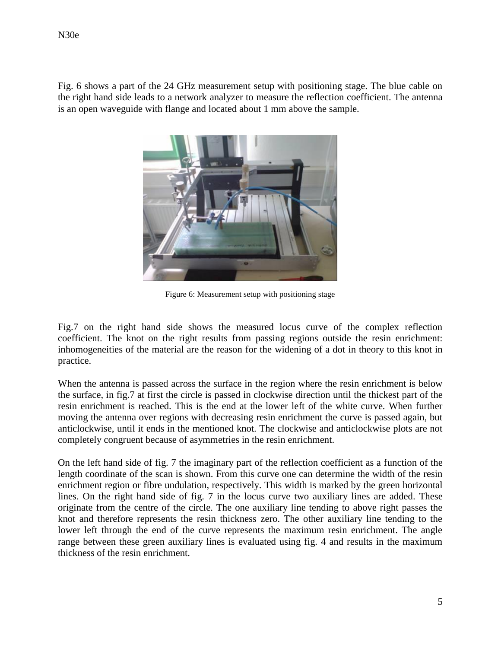Fig. 6 shows a part of the 24 GHz measurement setup with positioning stage. The blue cable on the right hand side leads to a network analyzer to measure the reflection coefficient. The antenna is an open waveguide with flange and located about 1 mm above the sample.



Figure 6: Measurement setup with positioning stage

Fig.7 on the right hand side shows the measured locus curve of the complex reflection coefficient. The knot on the right results from passing regions outside the resin enrichment: inhomogeneities of the material are the reason for the widening of a dot in theory to this knot in practice.

When the antenna is passed across the surface in the region where the resin enrichment is below the surface, in fig.7 at first the circle is passed in clockwise direction until the thickest part of the resin enrichment is reached. This is the end at the lower left of the white curve. When further moving the antenna over regions with decreasing resin enrichment the curve is passed again, but anticlockwise, until it ends in the mentioned knot. The clockwise and anticlockwise plots are not completely congruent because of asymmetries in the resin enrichment.

On the left hand side of fig. 7 the imaginary part of the reflection coefficient as a function of the length coordinate of the scan is shown. From this curve one can determine the width of the resin enrichment region or fibre undulation, respectively. This width is marked by the green horizontal lines. On the right hand side of fig. 7 in the locus curve two auxiliary lines are added. These originate from the centre of the circle. The one auxiliary line tending to above right passes the knot and therefore represents the resin thickness zero. The other auxiliary line tending to the lower left through the end of the curve represents the maximum resin enrichment. The angle range between these green auxiliary lines is evaluated using fig. 4 and results in the maximum thickness of the resin enrichment.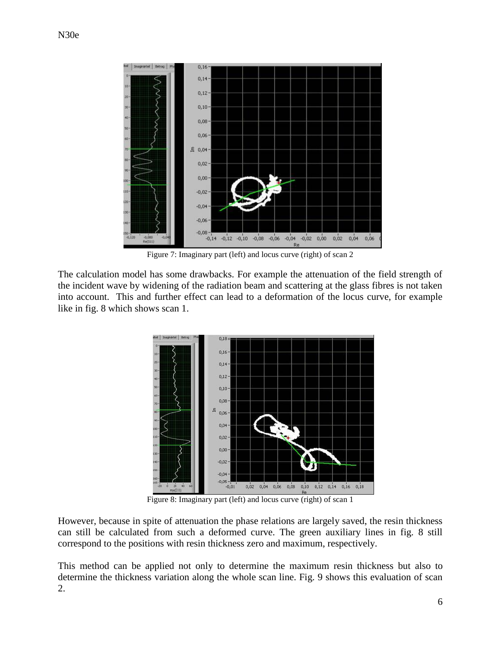

Figure 7: Imaginary part (left) and locus curve (right) of scan 2

The calculation model has some drawbacks. For example the attenuation of the field strength of the incident wave by widening of the radiation beam and scattering at the glass fibres is not taken into account. This and further effect can lead to a deformation of the locus curve, for example like in fig. 8 which shows scan 1.



Figure 8: Imaginary part (left) and locus curve (right) of scan 1

However, because in spite of attenuation the phase relations are largely saved, the resin thickness can still be calculated from such a deformed curve. The green auxiliary lines in fig. 8 still correspond to the positions with resin thickness zero and maximum, respectively.

This method can be applied not only to determine the maximum resin thickness but also to determine the thickness variation along the whole scan line. Fig. 9 shows this evaluation of scan 2.